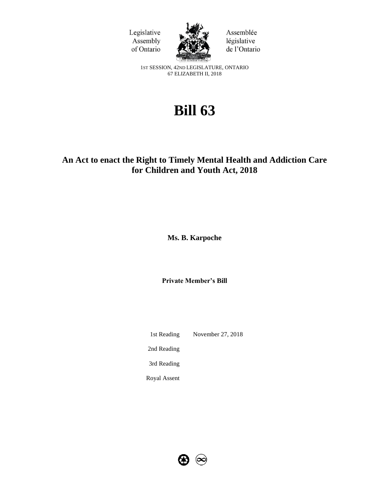



Assemblée législative de l'Ontario

1ST SESSION, 42ND LEGISLATURE, ONTARIO 67 ELIZABETH II, 2018

# **Bill 63**

## **An Act to enact the Right to Timely Mental Health and Addiction Care for Children and Youth Act, 2018**

**Ms. B. Karpoche**

**Private Member's Bill**

1st Reading November 27, 2018

2nd Reading

3rd Reading

Royal Assent

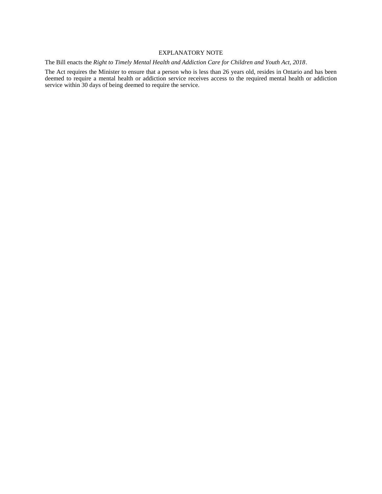#### EXPLANATORY NOTE

The Bill enacts the *Right to Timely Mental Health and Addiction Care for Children and Youth Act, 2018*.

The Act requires the Minister to ensure that a person who is less than 26 years old, resides in Ontario and has been deemed to require a mental health or addiction service receives access to the required mental health or addiction service within 30 days of being deemed to require the service.